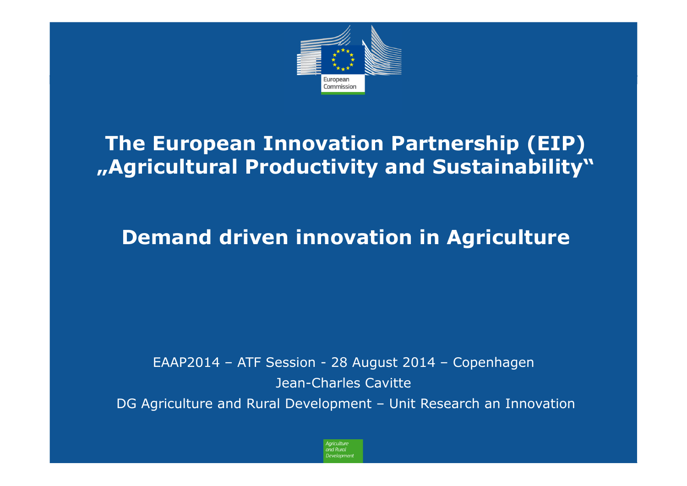

## **The European Innovation Partnership (EIP) "Agricultural Productivity and Sustainability"**

## **Demand driven innovation in Agriculture**

EAAP2014 – ATF Session - 28 August 2014 – Copenhagen Jean-Charles CavitteDG Agriculture and Rural Development – Unit Research an Innovation

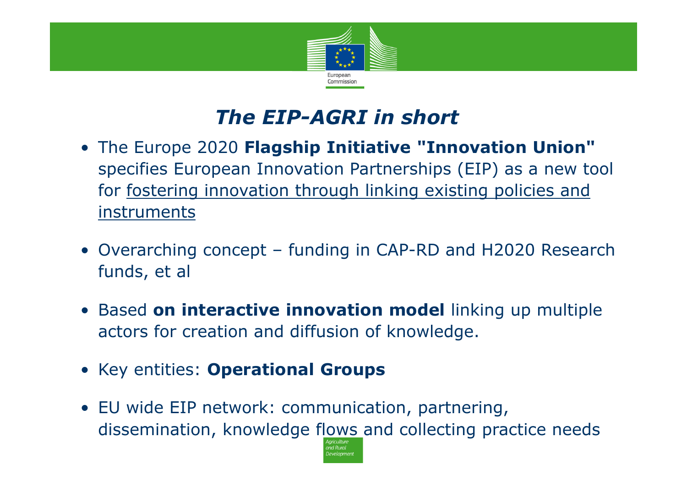

## *The EIP-AGRI in short*

- The Europe 2020 **Flagship Initiative "Innovation Union"**  specifies European Innovation Partnerships (EIP) as a new tool for fostering innovation through linking existing policies and instruments
- Overarching concept funding in CAP-RD and H2020 Research funds, et al
- Based **on interactive innovation model** linking up multiple actors for creation and diffusion of knowledge.
- Key entities: **Operational Groups**
- EU wide EIP network: communication, partnering, dissemination, knowledge flows and collecting practice needs

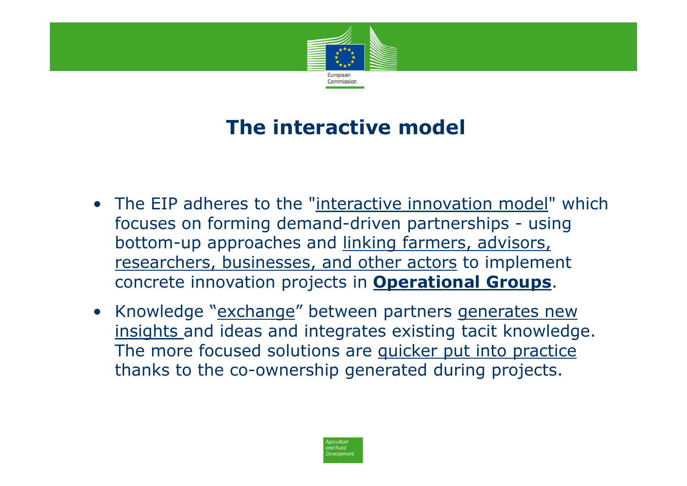

## **The interactive model**

- The EIP adheres to the "interactive innovation model" which focuses on forming demand-driven partnerships - using bottom-up approaches and linking farmers, advisors, researchers, businesses, and other actors to implement concrete innovation projects in **Operational Groups**.
- $\bullet$ Knowledge "exchange" between partners generates new insights and ideas and integrates existing tacit knowledge. The more focused solutions are quicker put into practice thanks to the co-ownership generated during projects.

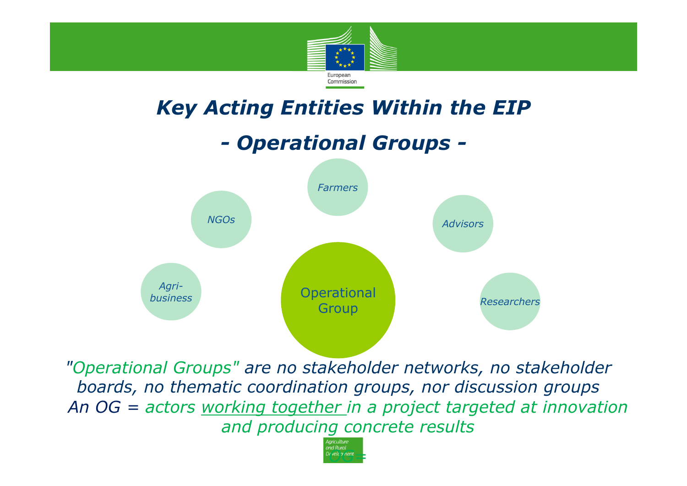

# *FarmersNGOs AdvisorsKey Acting Entities Within the EIP - Operational Groups -*

*ResearchersAgribusiness***Operational** Group

*"Operational Groups" are no stakeholder networks, no stakeholder boards, no thematic coordination groups, nor discussion groups An OG = actors working together in a project targeted at innovation and producing concrete results*

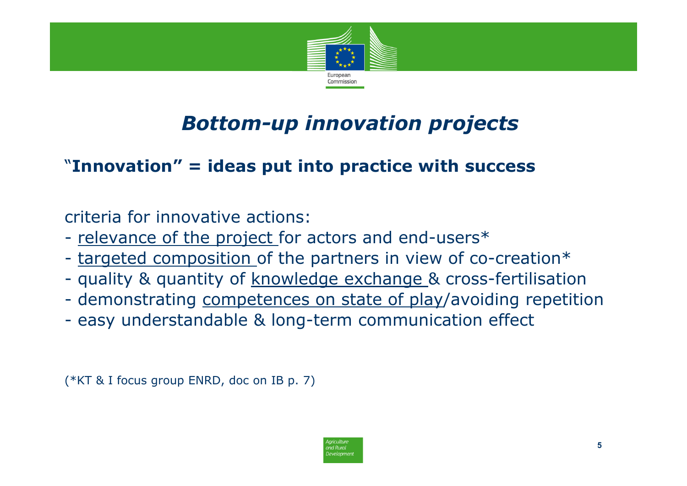

## *Bottom-up innovation projects*

#### "**Innovation" = ideas put into practice with success**

criteria for innovative actions:

- relevance of the project for actors and end-users\*
- targeted composition of the partners in view of co-creation\*
- quality & quantity of knowledge exchange & cross-fertilisation
- demonstrating competences on state of play/avoiding repetition
- easy understandable & long-term communication effect

(\*KT & I focus group ENRD, doc on IB p. 7)

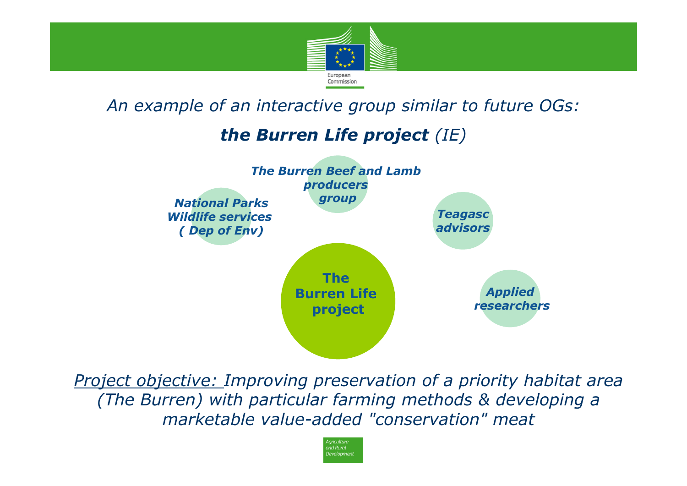

#### *An example of an interactive group similar to future OGs:*

## *the Burren Life project (IE)*



*Project objective: Improving preservation of a priority habitat area (The Burren) with particular farming methods & developing a marketable value-added "conservation" meat* 

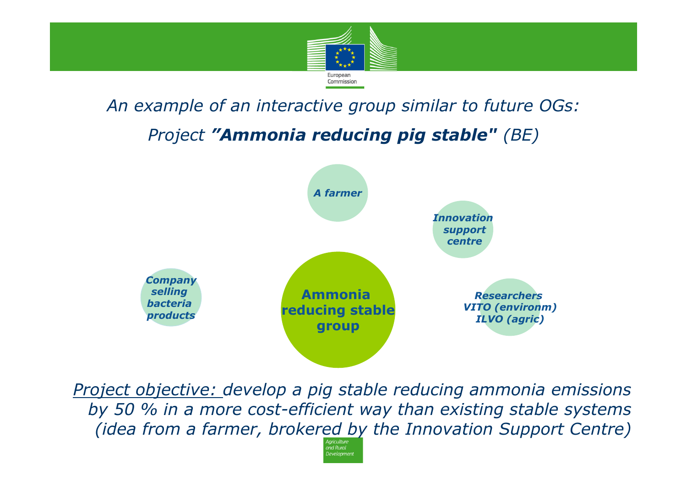

#### *An example of an interactive group similar to future OGs:*

*Project "Ammonia reducing pig stable" (BE)*



*Project objective: develop a pig stable reducing ammonia emissions by 50 % in a more cost-efficient way than existing stable systems (idea from a farmer, brokered by the Innovation Support Centre)*

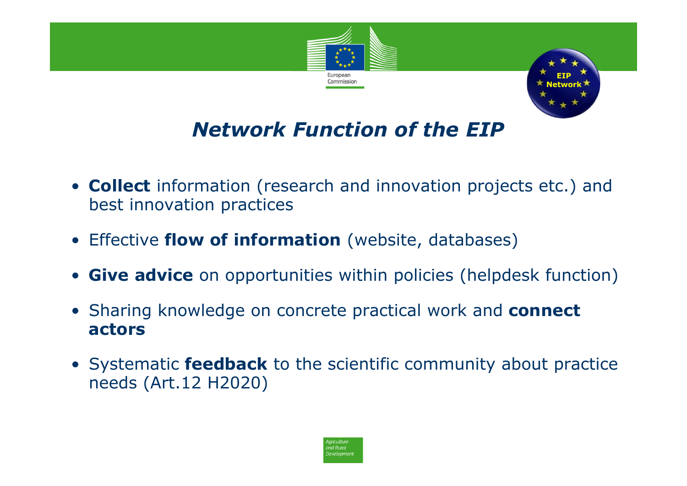



## *Network Function of the EIP*

- **Collect** information (research and innovation projects etc.) and best innovation practices
- Effective **flow of information** (website, databases)
- **Give advice** on opportunities within policies (helpdesk function)
- Sharing knowledge on concrete practical work and **connect actors**
- Systematic **feedback** to the scientific community about practice needs (Art.12 H2020)

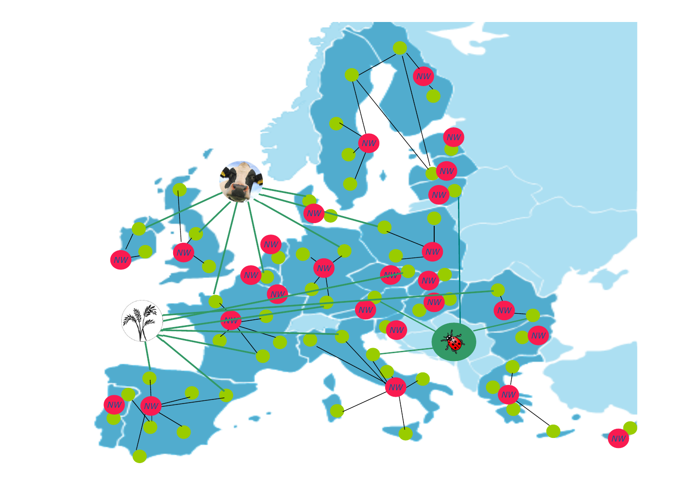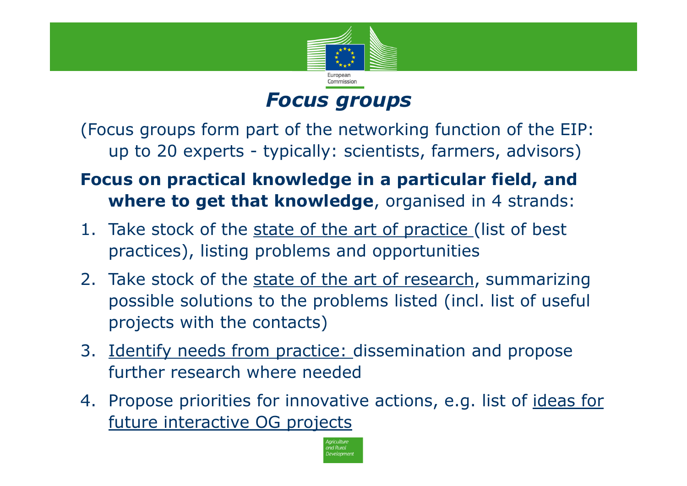

## *Focus groups*

(Focus groups form part of the networking function of the EIP: up to 20 experts - typically: scientists, farmers, advisors)

### **Focus on practical knowledge in a particular field, and where to get that knowledge**, organised in 4 strands:

- 1. Take stock of the state of the art of practice (list of best practices), listing problems and opportunities
- 2. Take stock of the state of the art of research, summarizing possible solutions to the problems listed (incl. list of useful projects with the contacts)
- 3. Identify needs from practice: dissemination and propose further research where needed
- 4. Propose priorities for innovative actions, e.g. list of ideas for future interactive OG projects

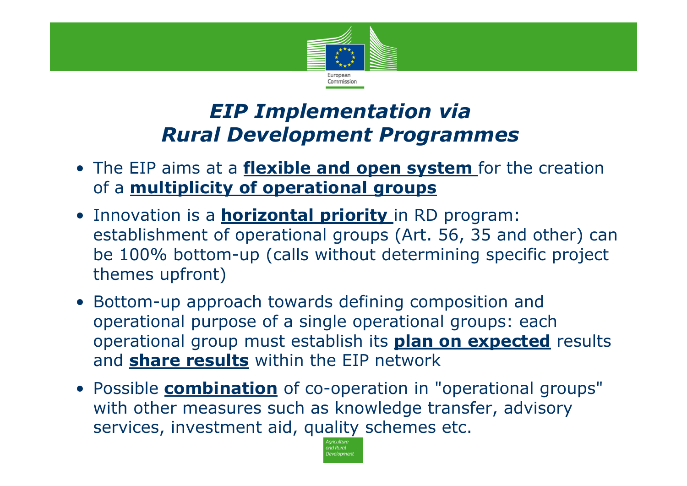

## *EIP Implementation via Rural Development Programmes*

- The EIP aims at a **flexible and open system** for the creation of a **multiplicity of operational groups**
- Innovation is a **horizontal priority** in RD program: establishment of operational groups (Art. 56, 35 and other) can be 100% bottom-up (calls without determining specific project themes upfront)
- Bottom-up approach towards defining composition and operational purpose of a single operational groups: each operational group must establish its **plan on expected** results and **share results** within the EIP network
- Possible **combination** of co-operation in "operational groups" with other measures such as knowledge transfer, advisory services, investment aid, quality schemes etc.

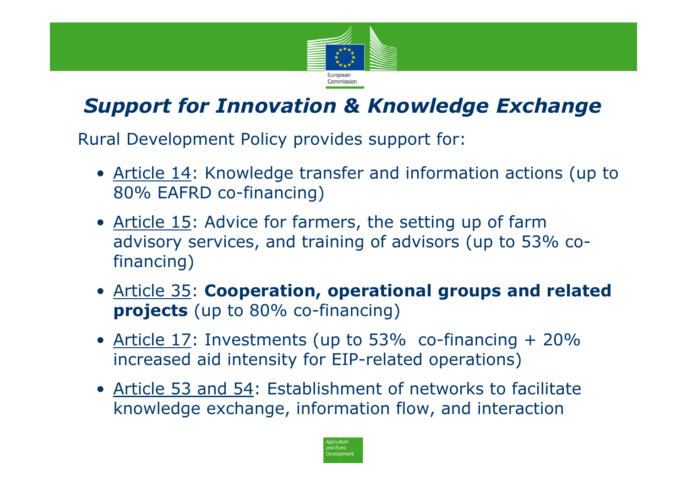

## *Support for Innovation & Knowledge Exchange*

Rural Development Policy provides support for:

- Article 14: Knowledge transfer and information actions (up to 80% EAFRD co-financing)
- Article 15: Advice for farmers, the setting up of farm advisory services, and training of advisors (up to 53% cofinancing)
- Article 35: **Cooperation, operational groups and related projects** (up to 80% co-financing)
- Article 17: Investments (up to 53% co-financing + 20% increased aid intensity for EIP-related operations)
- Article 53 and 54: Establishment of networks to facilitate knowledge exchange, information flow, and interaction

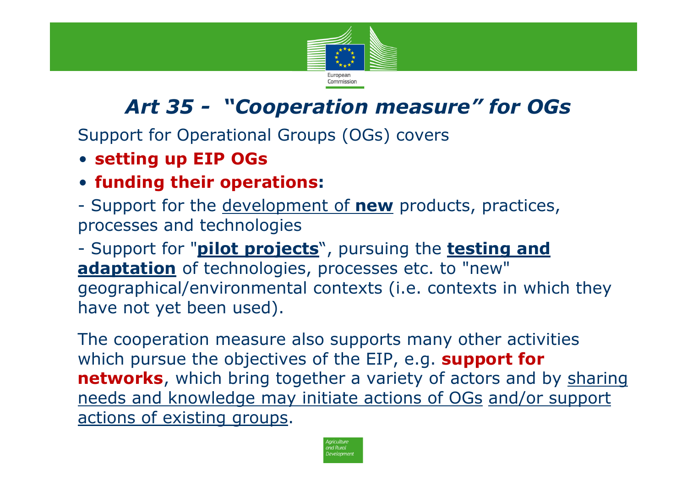

## *Art 35 - "Cooperation measure" for OGs*

Support for Operational Groups (OGs) covers

- **setting up EIP OGs**
- **funding their operations:**
- Support for the development of **new** products, practices, processes and technologies

 - Support for "**pilot projects**", pursuing the **testing and**  adaptation of technologies, processes etc. to "new" geographical/environmental contexts (i.e. contexts in which they have not yet been used).

 The cooperation measure also supports many other activities which pursue the objectives of the EIP, e.g. **support for networks**, which bring together a variety of actors and by sharing needs and knowledge may initiate actions of OGs and/or support actions of existing groups.

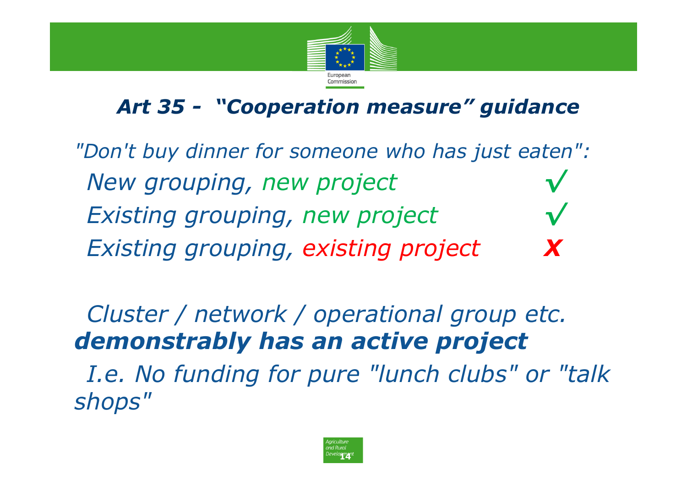

## *Art 35 - "Cooperation measure" guidance*

*"Don't buy dinner for someone who has just eaten":* •*New grouping, new project √* •*Existing grouping, new project √* •*Existing grouping, existing project X*

•*Cluster / network / operational group etc. demonstrably has an active project*

•*I.e. No funding for pure "lunch clubs" or "talk shops"*

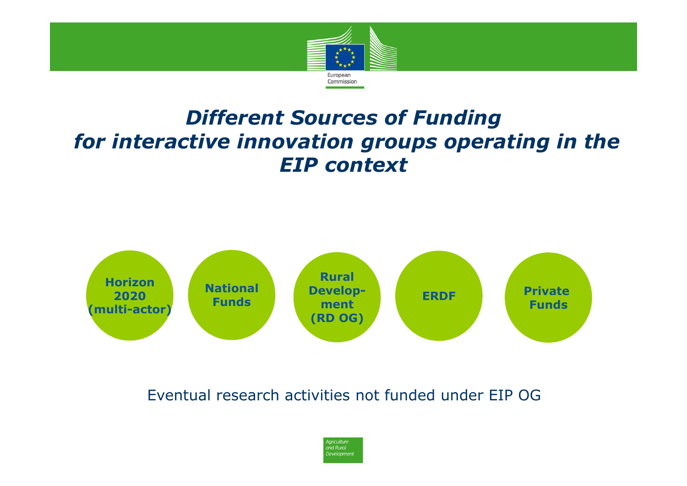

## *Different Sources of Funding for interactive innovation groups operating in the EIP context*



Eventual research activities not funded under EIP OG

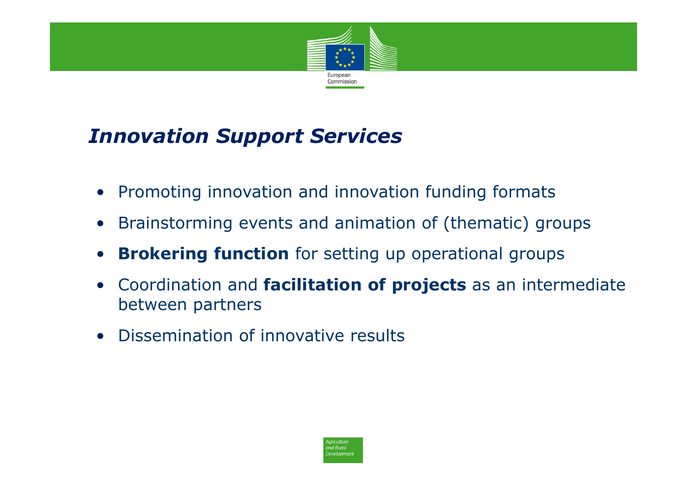

## *Innovation Support Services*

- $\bullet$ Promoting innovation and innovation funding formats
- $\bullet$ Brainstorming events and animation of (thematic) groups
- $\bullet$ **Brokering function** for setting up operational groups
- $\bullet$  Coordination and **facilitation of projects** as an intermediate between partners
- $\bullet$ Dissemination of innovative results

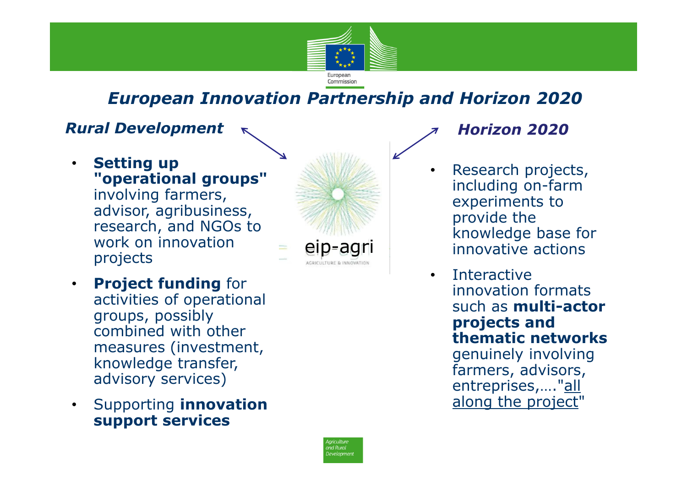

#### *European Innovation Partnership and Horizon 2020*

#### *Rural Development*  $\kappa$  **Horizon 2020**

projects

- • **Setting up "operational groups"**  involving farmers, advisor, agribusiness, research, and NGOs to
	- work on innovation eip-agri
- $\bullet$  **Project funding** for activities of operational groups, possibly combined with other measures (investment, knowledge transfer, advisory services)
- $\bullet$  Supporting **innovation support services**

- • Research projects, including on-farm experiments to provide the knowledge base for innovative actions
- $\bullet$ **Interactive** innovation formats such as **multi-actor projects and thematic networks**  genuinely involving farmers, advisors, entreprises,…."all along the project"

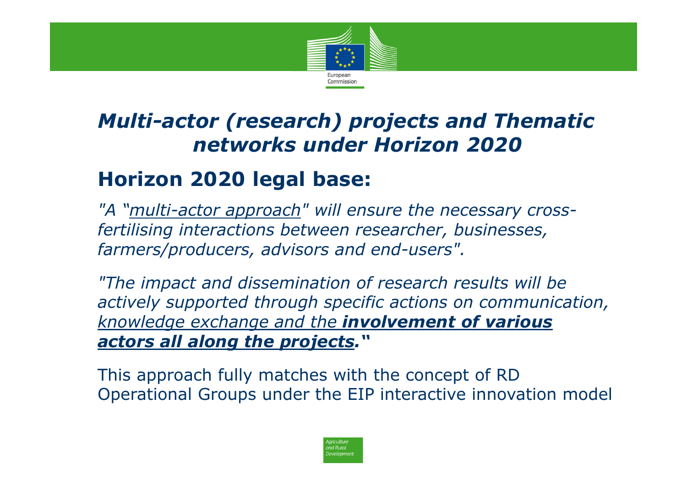

## *Multi-actor (research) projects and Thematic networks under Horizon 2020*

## •**Horizon 2020 legal base:**

•*"A "multi-actor approach" will ensure the necessary crossfertilising interactions between researcher, businesses, farmers/producers, advisors and end-users".* 

•*"The impact and dissemination of research results will be actively supported through specific actions on communication, knowledge exchange and the involvement of various actors all along the projects."* 

This approach fully matches with the concept of RD Operational Groups under the EIP interactive innovation model

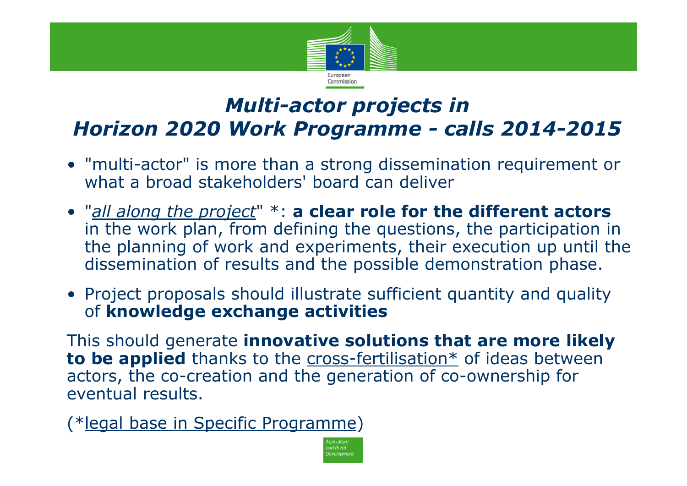

## *Multi-actor projects in Horizon 2020 Work Programme - calls 2014-2015*

- "multi-actor" is more than a strong dissemination requirement or what a broad stakeholders' board can deliver
- "*all along the project*" \*: **a clear role for the different actors**  in the work plan, from defining the questions, the participation in the planning of work and experiments, their execution up until the dissemination of results and the possible demonstration phase.
- Project proposals should illustrate sufficient quantity and quality of **knowledge exchange activities**

This should generate **innovative solutions that are more likely to be applied** thanks to the **cross-fertilisation\*** of ideas between actors, the co-creation and the generation of co-ownership for eventual results.

(\*legal base in Specific Programme)

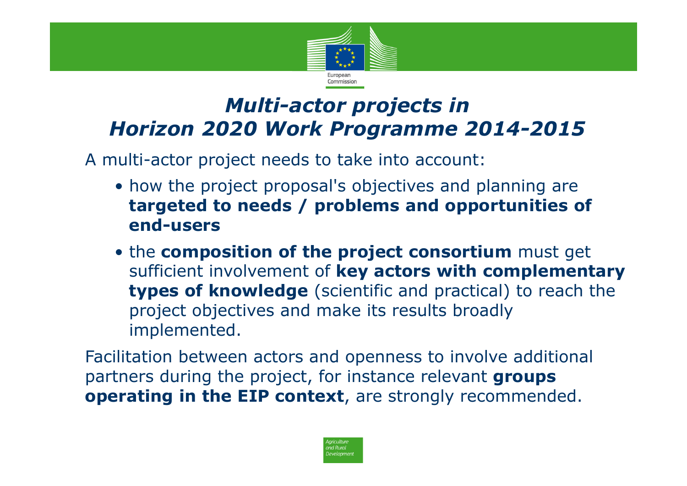

## *Multi-actor projects in Horizon 2020 Work Programme 2014-2015*

A multi-actor project needs to take into account:

- how the project proposal's objectives and planning are **targeted to needs / problems and opportunities of end-users**
- the **composition of the project consortium** must get sufficient involvement of **key actors with complementary types of knowledge** (scientific and practical) to reach the project objectives and make its results broadly implemented.

Facilitation between actors and openness to involve additional partners during the project, for instance relevant **groups operating in the EIP context**, are strongly recommended.

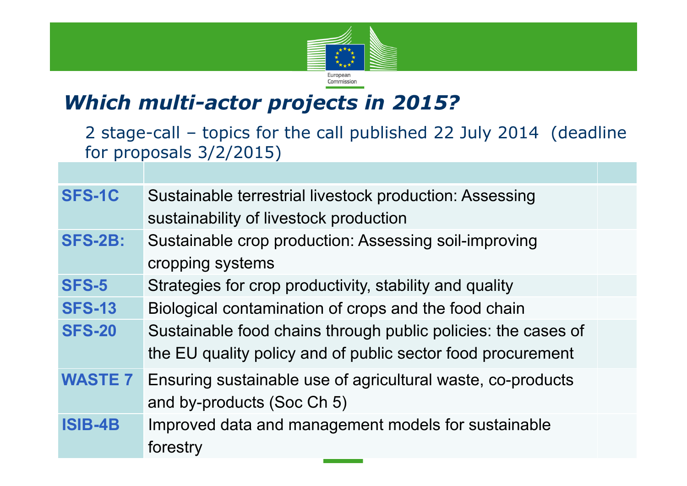

## *Which multi-actor projects in 2015?*

2 stage-call – topics for the call published 22 July 2014 (deadline for proposals 3/2/2015)

| <b>SFS-1C</b><br>Sustainable terrestrial livestock production: Assessing<br>sustainability of livestock production                            |
|-----------------------------------------------------------------------------------------------------------------------------------------------|
|                                                                                                                                               |
| Sustainable crop production: Assessing soil-improving<br><b>SFS-2B:</b><br>cropping systems                                                   |
| Strategies for crop productivity, stability and quality<br><b>SFS-5</b>                                                                       |
| <b>SFS-13</b><br>Biological contamination of crops and the food chain                                                                         |
| <b>SFS-20</b><br>Sustainable food chains through public policies: the cases of<br>the EU quality policy and of public sector food procurement |
| <b>WASTE 7</b><br>Ensuring sustainable use of agricultural waste, co-products<br>and by-products (Soc Ch 5)                                   |
| Improved data and management models for sustainable<br><b>ISIB-4B</b><br>forestry                                                             |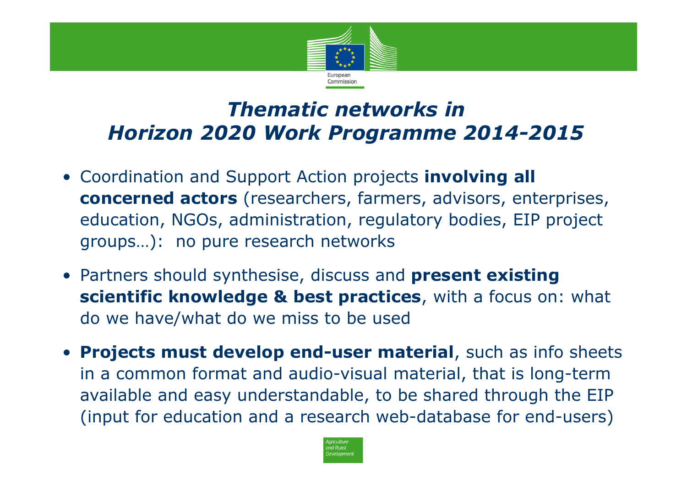

## *Thematic networks in Horizon 2020 Work Programme 2014-2015*

- Coordination and Support Action projects **involving all concerned actors** (researchers, farmers, advisors, enterprises, education, NGOs, administration, regulatory bodies, EIP project groups…): no pure research networks
- Partners should synthesise, discuss and **present existing scientific knowledge & best practices**, with a focus on: what do we have/what do we miss to be used
- **Projects must develop end-user material**, such as info sheets in a common format and audio-visual material, that is long-term available and easy understandable, to be shared through the EIP (input for education and a research web-database for end-users)

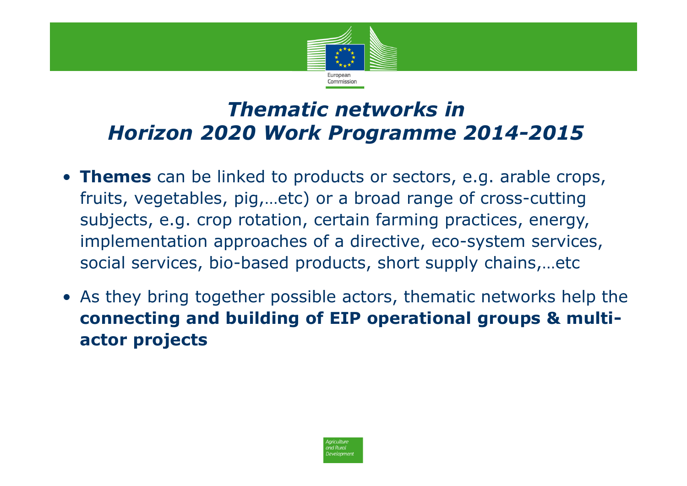

## *Thematic networks in Horizon 2020 Work Programme 2014-2015*

- **Themes** can be linked to products or sectors, e.g. arable crops, fruits, vegetables, pig,…etc) or a broad range of cross-cutting subjects, e.g. crop rotation, certain farming practices, energy, implementation approaches of a directive, eco-system services, social services, bio-based products, short supply chains,…etc
- As they bring together possible actors, thematic networks help the **connecting and building of EIP operational groups & multiactor projects**

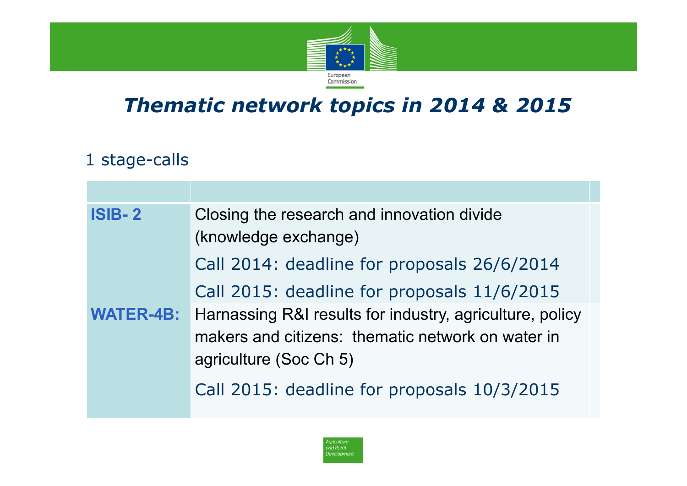

## *Thematic network topics in 2014 & 2015*

#### 1 stage-calls

| <b>ISIB-2</b>    | Closing the research and innovation divide                                                                                              |
|------------------|-----------------------------------------------------------------------------------------------------------------------------------------|
|                  | (knowledge exchange)                                                                                                                    |
|                  | Call 2014: deadline for proposals 26/6/2014                                                                                             |
|                  | Call 2015: deadline for proposals 11/6/2015                                                                                             |
| <b>WATER-4B:</b> | Harnassing R&I results for industry, agriculture, policy<br>makers and citizens: thematic network on water in<br>agriculture (Soc Ch 5) |
|                  | Call 2015: deadline for proposals 10/3/2015                                                                                             |

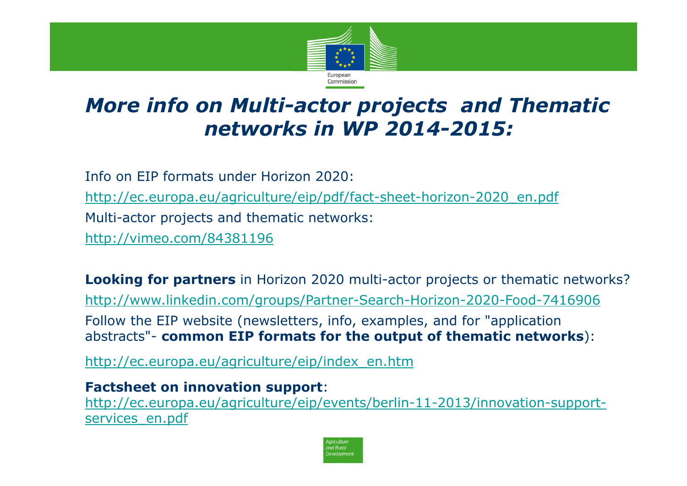

## *More info on Multi-actor projects and Thematic networks in WP 2014-2015:*

Info on EIP formats under Horizon 2020:http://ec.europa.eu/agriculture/eip/pdf/fact-sheet-horizon-2020\_en.pdf Multi-actor projects and thematic networks: http://vimeo.com/84381196

**Looking for partners** in Horizon 2020 multi-actor projects or thematic networks? http://www.linkedin.com/groups/Partner-Search-Horizon-2020-Food-7416906 Follow the EIP website (newsletters, info, examples, and for "application abstracts"- **common EIP formats for the output of thematic networks**):

http://ec.europa.eu/agriculture/eip/index\_en.htm

#### **Factsheet on innovation support**:

http://ec.europa.eu/agriculture/eip/events/berlin-11-2013/innovation-supportservices\_en.pdf

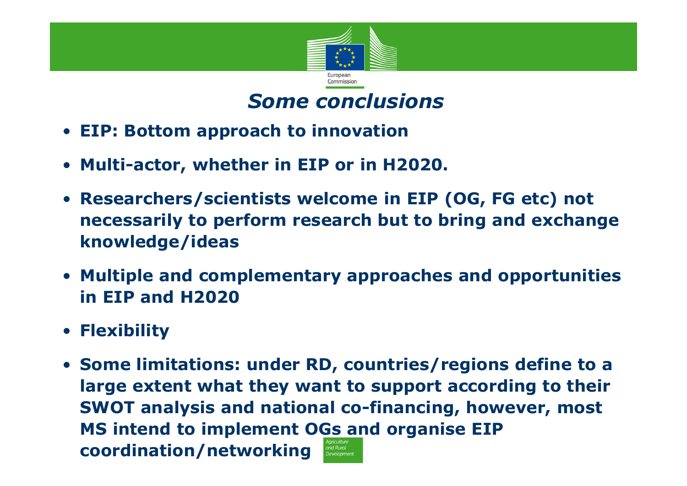

*Some conclusions*

- **EIP: Bottom approach to innovation**
- **Multi-actor, whether in EIP or in H2020.**
- **Researchers/scientists welcome in EIP (OG, FG etc) not necessarily to perform research but to bring and exchange knowledge/ideas**
- **Multiple and complementary approaches and opportunities in EIP and H2020**
- **Flexibility**
- **Some limitations: under RD, countries/regions define to a large extent what they want to support according to their SWOT analysis and national co-financing, however, most MS intend to implement OGs and organise EIP coordination/networking**